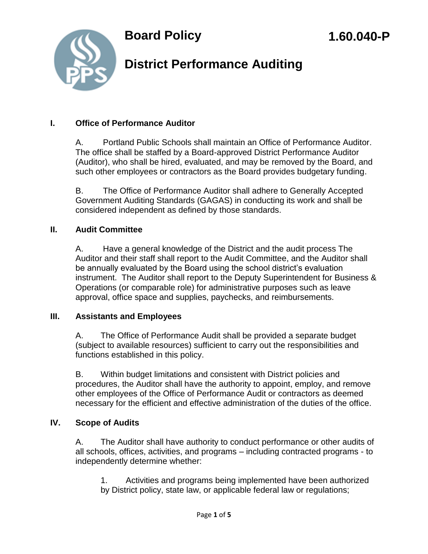

## **District Performance Auditing**

#### **I. Office of Performance Auditor**

A. Portland Public Schools shall maintain an Office of Performance Auditor. The office shall be staffed by a Board-approved District Performance Auditor (Auditor), who shall be hired, evaluated, and may be removed by the Board, and such other employees or contractors as the Board provides budgetary funding.

B. The Office of Performance Auditor shall adhere to Generally Accepted Government Auditing Standards (GAGAS) in conducting its work and shall be considered independent as defined by those standards.

#### **II. Audit Committee**

A. Have a general knowledge of the District and the audit process The Auditor and their staff shall report to the Audit Committee, and the Auditor shall be annually evaluated by the Board using the school district's evaluation instrument. The Auditor shall report to the Deputy Superintendent for Business & Operations (or comparable role) for administrative purposes such as leave approval, office space and supplies, paychecks, and reimbursements.

#### **III. Assistants and Employees**

A. The Office of Performance Audit shall be provided a separate budget (subject to available resources) sufficient to carry out the responsibilities and functions established in this policy.

B. Within budget limitations and consistent with District policies and procedures, the Auditor shall have the authority to appoint, employ, and remove other employees of the Office of Performance Audit or contractors as deemed necessary for the efficient and effective administration of the duties of the office.

#### **IV. Scope of Audits**

A. The Auditor shall have authority to conduct performance or other audits of all schools, offices, activities, and programs – including contracted programs - to independently determine whether:

1. Activities and programs being implemented have been authorized by District policy, state law, or applicable federal law or regulations;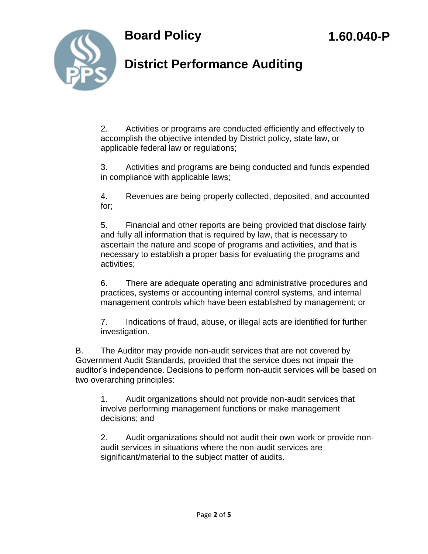



## **District Performance Auditing**

2. Activities or programs are conducted efficiently and effectively to accomplish the objective intended by District policy, state law, or applicable federal law or regulations;

3. Activities and programs are being conducted and funds expended in compliance with applicable laws;

4. Revenues are being properly collected, deposited, and accounted for;

5. Financial and other reports are being provided that disclose fairly and fully all information that is required by law, that is necessary to ascertain the nature and scope of programs and activities, and that is necessary to establish a proper basis for evaluating the programs and activities;

6. There are adequate operating and administrative procedures and practices, systems or accounting internal control systems, and internal management controls which have been established by management; or

7. Indications of fraud, abuse, or illegal acts are identified for further investigation.

B. The Auditor may provide non-audit services that are not covered by Government Audit Standards, provided that the service does not impair the auditor's independence. Decisions to perform non-audit services will be based on two overarching principles:

1. Audit organizations should not provide non-audit services that involve performing management functions or make management decisions; and

2. Audit organizations should not audit their own work or provide nonaudit services in situations where the non-audit services are significant/material to the subject matter of audits.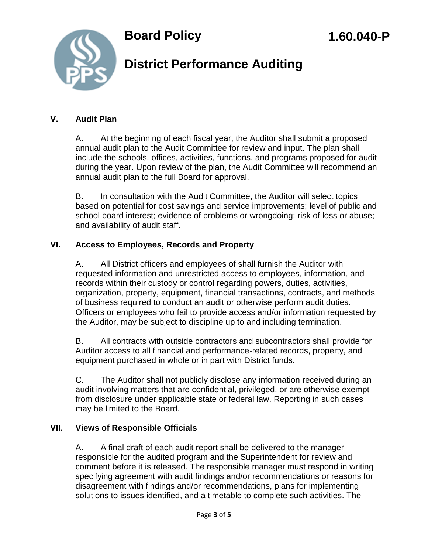

## **District Performance Auditing**

#### **V. Audit Plan**

A. At the beginning of each fiscal year, the Auditor shall submit a proposed annual audit plan to the Audit Committee for review and input. The plan shall include the schools, offices, activities, functions, and programs proposed for audit during the year. Upon review of the plan, the Audit Committee will recommend an annual audit plan to the full Board for approval.

B. In consultation with the Audit Committee, the Auditor will select topics based on potential for cost savings and service improvements; level of public and school board interest; evidence of problems or wrongdoing; risk of loss or abuse; and availability of audit staff.

#### **VI. Access to Employees, Records and Property**

A. All District officers and employees of shall furnish the Auditor with requested information and unrestricted access to employees, information, and records within their custody or control regarding powers, duties, activities, organization, property, equipment, financial transactions, contracts, and methods of business required to conduct an audit or otherwise perform audit duties. Officers or employees who fail to provide access and/or information requested by the Auditor, may be subject to discipline up to and including termination.

B. All contracts with outside contractors and subcontractors shall provide for Auditor access to all financial and performance-related records, property, and equipment purchased in whole or in part with District funds.

C. The Auditor shall not publicly disclose any information received during an audit involving matters that are confidential, privileged, or are otherwise exempt from disclosure under applicable state or federal law. Reporting in such cases may be limited to the Board.

#### **VII. Views of Responsible Officials**

A. A final draft of each audit report shall be delivered to the manager responsible for the audited program and the Superintendent for review and comment before it is released. The responsible manager must respond in writing specifying agreement with audit findings and/or recommendations or reasons for disagreement with findings and/or recommendations, plans for implementing solutions to issues identified, and a timetable to complete such activities. The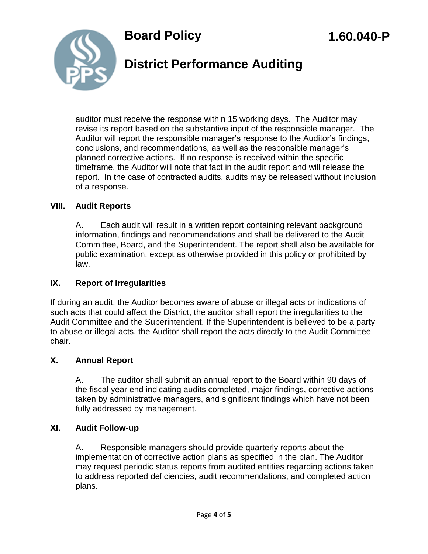

## **District Performance Auditing**

auditor must receive the response within 15 working days. The Auditor may revise its report based on the substantive input of the responsible manager. The Auditor will report the responsible manager's response to the Auditor's findings, conclusions, and recommendations, as well as the responsible manager's planned corrective actions. If no response is received within the specific timeframe, the Auditor will note that fact in the audit report and will release the report. In the case of contracted audits, audits may be released without inclusion of a response.

#### **VIII. Audit Reports**

A. Each audit will result in a written report containing relevant background information, findings and recommendations and shall be delivered to the Audit Committee, Board, and the Superintendent. The report shall also be available for public examination, except as otherwise provided in this policy or prohibited by law.

### **IX. Report of Irregularities**

If during an audit, the Auditor becomes aware of abuse or illegal acts or indications of such acts that could affect the District, the auditor shall report the irregularities to the Audit Committee and the Superintendent. If the Superintendent is believed to be a party to abuse or illegal acts, the Auditor shall report the acts directly to the Audit Committee chair.

#### **X. Annual Report**

A. The auditor shall submit an annual report to the Board within 90 days of the fiscal year end indicating audits completed, major findings, corrective actions taken by administrative managers, and significant findings which have not been fully addressed by management.

### **XI. Audit Follow-up**

A. Responsible managers should provide quarterly reports about the implementation of corrective action plans as specified in the plan. The Auditor may request periodic status reports from audited entities regarding actions taken to address reported deficiencies, audit recommendations, and completed action plans.